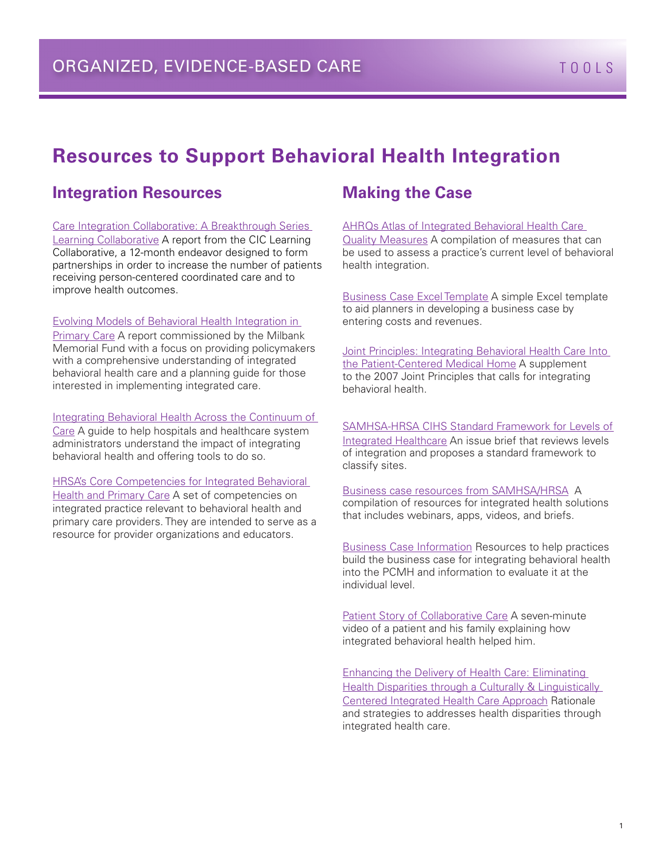# **Resources to Support Behavioral Health Integration**

### **Integration Resources**

[Care Integration Collaborative: A Breakthrough Series](http://www.cimharchive.trilogyir.com/LinkClick.aspx?fileticket=gSmhqdvtg0w%3D&tabid=36)  [Learning Collaborative](http://www.cimharchive.trilogyir.com/LinkClick.aspx?fileticket=gSmhqdvtg0w%3D&tabid=36) A report from the CIC Learning Collaborative, a 12-month endeavor designed to form partnerships in order to increase the number of patients receiving person-centered coordinated care and to improve health outcomes.

#### [Evolving Models of Behavioral Health Integration in](http://www.milbank.org/uploads/documents/10430EvolvingCare/EvolvingCare.pdf)

[Primary Care](http://www.milbank.org/uploads/documents/10430EvolvingCare/EvolvingCare.pdf) A report commissioned by the Milbank Memorial Fund with a focus on providing policymakers with a comprehensive understanding of integrated behavioral health care and a planning guide for those interested in implementing integrated care.

#### [Integrating Behavioral Health Across the Continuum of](http://www.hpoe.org/Reports-HPOE/Behavioral%20health%20FINAL.pdf)

[Care](http://www.hpoe.org/Reports-HPOE/Behavioral%20health%20FINAL.pdf) A guide to help hospitals and healthcare system administrators understand the impact of integrating behavioral health and offering tools to do so.

[HRSA's Core Competencies for Integrated Behavioral](http://www.integration.samhsa.gov/workforce/Integration_Competencies_Final.pdf)  [Health and Primary Care](http://www.integration.samhsa.gov/workforce/Integration_Competencies_Final.pdf) A set of competencies on integrated practice relevant to behavioral health and primary care providers. They are intended to serve as a resource for provider organizations and educators.

### **Making the Case**

#### AHRQs Atlas of Integrated Behavioral Health Care

[Quality Measures A compilation of measures that can](http://integrationacademy.ahrq.gov/atlas)  be used to assess a practice's current level of behavioral health integration.

[Business Case Excel Template](http://www.integration.samhsa.gov/integrated-care-models/Business_Case_for_Behavioral_Health_Pro_Forma_Model.xlsx) A simple Excel template to aid planners in developing a business case by entering costs and revenues.

Joint Principles: Integrating Behavioral Health Care Into [the Patient-Centered Medical Home](http://www.annfammed.org/content/12/2/183.2.full.pdf%2Bhtml) A supplement to the 2007 Joint Principles that calls for integrating behavioral health.

[SAMHSA-HRSA CIHS Standard Framework for Levels of](http://www.integration.samhsa.gov/integrated-care-models/A_Standard_Framework_for_Levels_of_Integrated_Healthcare.pdf)  [Integrated Healthcare](http://www.integration.samhsa.gov/integrated-care-models/A_Standard_Framework_for_Levels_of_Integrated_Healthcare.pdf) An issue brief that reviews levels of integration and proposes a standard framework to classify sites.

### [Business case resources from SAMHSA/HRSA](http://www.integration.samhsa.gov/) A

compilation of resources for integrated health solutions that includes webinars, apps, videos, and briefs.

[Business Case Information](http://www.integration.samhsa.gov/financing/The_Business_Case_for_Behavioral_Health_Care_Monograph.pdf) Resources to help practices build the business case for integrating behavioral health into the PCMH and information to evaluate it at the individual level.

[Patient Story of Collaborative Care](http://aims.uw.edu/daniels-story-introduction-collaborative-care) A seven-minute video of a patient and his family explaining how integrated behavioral health helped him.

[Enhancing the Delivery of Health Care: Eliminating](http://www.integration.samhsa.gov/Enhancing_the_Delivery_of_Health_Care_Eliminating_Health_Disparities.pdf)  Health Disparities through a Culturally & Linguistically [Centered Integrated Health Care Approach](http://www.integration.samhsa.gov/Enhancing_the_Delivery_of_Health_Care_Eliminating_Health_Disparities.pdf) Rationale and strategies to addresses health disparities through integrated health care.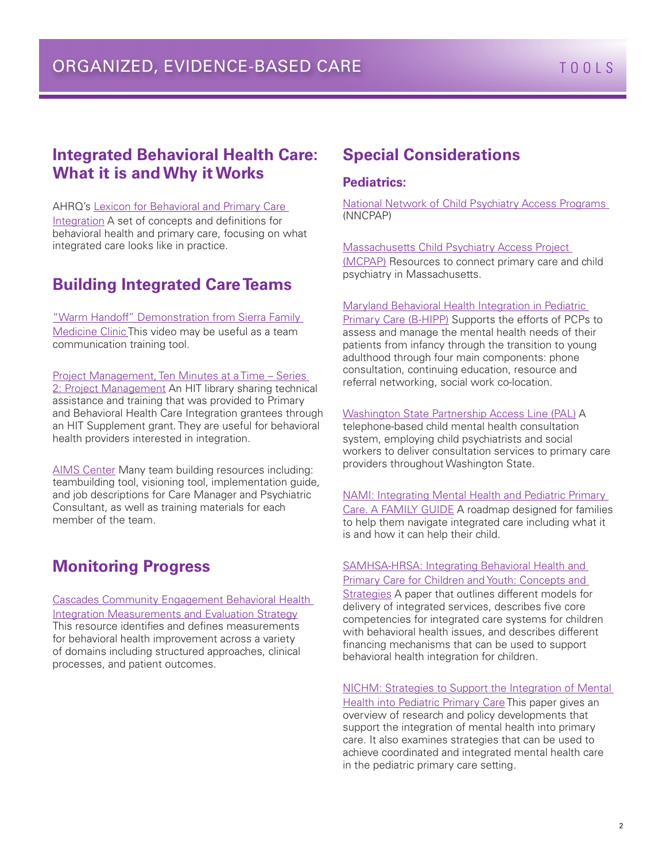## ORGANIZED, EVIDENCE-BASED CARE TOOLS

### **Integrated Behavioral Health Care: What it is and Why it Works**

AHRQ's [Lexicon for Behavioral and Primary Care](http://integrationacademy.ahrq.gov/sites/default/files/Lexicon.pdf)  [Integration](http://integrationacademy.ahrq.gov/sites/default/files/Lexicon.pdf) A set of concepts and definitions for behavioral health and primary care, focusing on what integrated care looks like in practice.

### **Building Integrated Care Teams**

["Warm Handoff" Demonstration from Sierra Family](http://www.youtube.com/watch?v=umif1TDdKrM)  [Medicine Clinic](http://www.youtube.com/watch?v=umif1TDdKrM) This video may be useful as a team communication training tool.

#### [Project Management, Ten Minutes at a Time](http://www.integration.samhsa.gov/operations-administration/ten-minutes-at-a-time-library) – Series

2: Project Management An HIT library sharing technical assistance and training that was provided to Primary and Behavioral Health Care Integration grantees through an HIT Supplement grant. They are useful for behavioral health providers interested in integration.

[AIMS Center](http://aims.uw.edu/) Many team building resources including: teambuilding tool, visioning tool, implementation guide, and job descriptions for Care Manager and Psychiatric Consultant, as well as training materials for each member of the team.

### **Monitoring Progress**

[Cascades Community Engagement Behavioral Health](http://www.ibhp.org/uploads/file/Cascades_Community_Evaluation_Strategy_1-12-10%5B1%5D.doc)  [Integration Measurements and Evaluation Strategy](http://www.ibhp.org/uploads/file/Cascades_Community_Evaluation_Strategy_1-12-10%5B1%5D.doc)  This resource identifies and defines measurements for behavioral health improvement across a variety of domains including structured approaches, clinical processes, and patient outcomes.

### **Special Considerations**

#### **Pediatrics:**

[National Network of Child Psychiatry Access Programs](http://web.jhu.edu/pedmentalhealth/nncpap_members.html)  (NNCPAP)

[Massachusetts Child Psychiatry Access Project](http://www.mcpap.com/)  [\(MCPAP\)](http://www.mcpap.com/) Resources to connect primary care and child psychiatry in Massachusetts.

#### [Maryland Behavioral Health Integration in Pediatric](http://www.mdbhipp.org/)

[Primary Care \(B-HIPP\)](http://www.mdbhipp.org/) Supports the efforts of PCPs to assess and manage the mental health needs of their patients from infancy through the transition to young adulthood through four main components: phone consultation, continuing education, resource and referral networking, social work co-location.

#### [Washington State Partnership Access Line \(PAL\)](http://www.palforkids.org/) A

telephone-based child mental health consultation system, employing child psychiatrists and social workers to deliver consultation services to primary care providers throughout Washington State.

[NAMI: Integrating Mental Health and Pediatric Primary](http://www.integration.samhsa.gov/integrated-care-models/FG-Integrating,_12.22.pdf)  [Care. A FAMILY GUIDE](http://www.integration.samhsa.gov/integrated-care-models/FG-Integrating,_12.22.pdf) A roadmap designed for families to help them navigate integrated care including what it is and how it can help their child.

#### [SAMHSA-HRSA: Integrating Behavioral Health and](http://www.integration.samhsa.gov/integrated-care-models/13_June_CIHS_Integrated_Care_System_for_Children_final.pdf)  [Primary Care for Children and Youth: Concepts and](http://www.integration.samhsa.gov/integrated-care-models/13_June_CIHS_Integrated_Care_System_for_Children_final.pdf)

[Strategies](http://www.integration.samhsa.gov/integrated-care-models/13_June_CIHS_Integrated_Care_System_for_Children_final.pdf) A paper that outlines different models for delivery of integrated services, describes five core competencies for integrated care systems for children with behavioral health issues, and describes different financing mechanisms that can be used to support behavioral health integration for children.

[NICHM: Strategies to Support the Integration of Mental](http://www.nihcm.org/pdf/PediatricMH-FINAL.pdf)  [Health into Pediatric Primary Care](http://www.nihcm.org/pdf/PediatricMH-FINAL.pdf) This paper gives an overview of research and policy developments that support the integration of mental health into primary care. It also examines strategies that can be used to achieve coordinated and integrated mental health care in the pediatric primary care setting.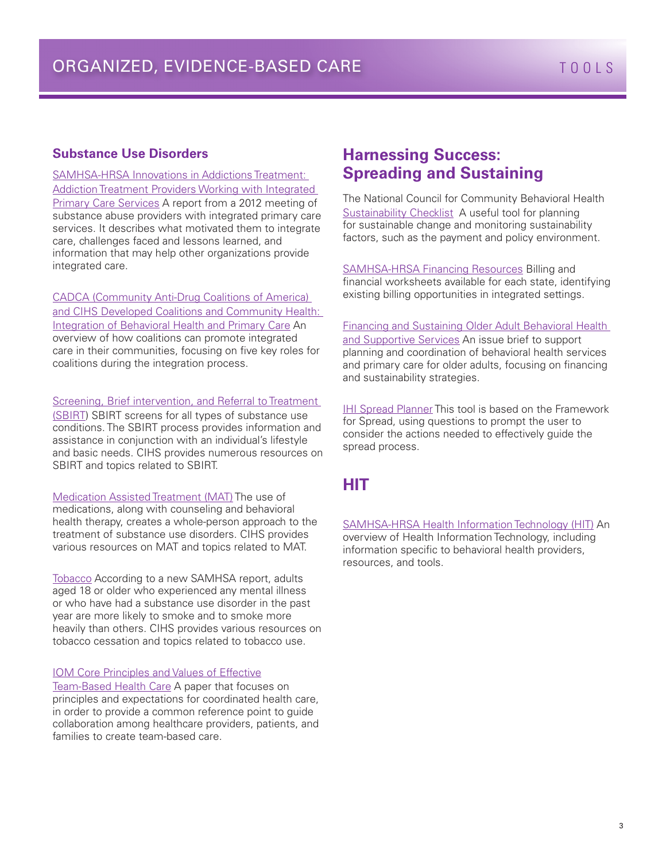#### **Substance Use Disorders**

[SAMHSA-HRSA Innovations in Addictions Treatment:](http://www.integration.samhsa.gov/clinical-practice/13_May_CIHS_Innovations.pdf)  [Addiction Treatment Providers Working with Integrated](http://www.integration.samhsa.gov/clinical-practice/13_May_CIHS_Innovations.pdf)  [Primary Care Services](http://www.integration.samhsa.gov/clinical-practice/13_May_CIHS_Innovations.pdf) A report from a 2012 meeting of substance abuse providers with integrated primary care services. It describes what motivated them to integrate care, challenges faced and lessons learned, and information that may help other organizations provide integrated care.

[CADCA \(Community Anti-Drug Coalitions of America\)](http://www.integration.samhsa.gov/clinical-practice/Coalitions_and_Community_Health_-_Final_-_042313.pdf)  [and CIHS Developed Coalitions and Community Health:](http://www.integration.samhsa.gov/clinical-practice/Coalitions_and_Community_Health_-_Final_-_042313.pdf)  [Integration of Behavioral Health and Primary Care](http://www.integration.samhsa.gov/clinical-practice/Coalitions_and_Community_Health_-_Final_-_042313.pdf) An overview of how coalitions can promote integrated care in their communities, focusing on five key roles for coalitions during the integration process.

Screening, Brief intervention, and Referral to Treatment [\(SBIRT\)](http://www.integration.samhsa.gov/clinical-practice/sbirt) SBIRT screens for all types of substance use conditions. The SBIRT process provides information and assistance in conjunction with an individual's lifestyle and basic needs. CIHS provides numerous resources on SBIRT and topics related to SBIRT.

[Medication Assisted Treatment \(MAT\)](http://www.integration.samhsa.gov/clinical-practice/mat/mat-overview) The use of medications, along with counseling and behavioral health therapy, creates a whole-person approach to the treatment of substance use disorders. CIHS provides various resources on MAT and topics related to MAT.

[Tobacco A](http://www.integration.samhsa.gov/health-wellness/wellness-strategies/tobacco-cessation-2#behavioral%20interventions)ccording to a new SAMHSA report, adults aged 18 or older who experienced any mental illness or who have had a substance use disorder in the past year are more likely to smoke and to smoke more heavily than others. CIHS provides various resources on tobacco cessation and topics related to tobacco use.

#### [IOM Core Principles and Values of Effective](https://www.pcpcc.org/resource/core-principles-values-effective-team-based-health-care)

[Team-Based Health Care](https://www.pcpcc.org/resource/core-principles-values-effective-team-based-health-care) A paper that focuses on principles and expectations for coordinated health care, in order to provide a common reference point to guide collaboration among healthcare providers, patients, and families to create team-based care.

### **Harnessing Success: Spreading and Sustaining**

The National Council for Community Behavioral Health [Sustainability Checklist](http://www.integration.samhsa.gov/financing/Sustainability_Checklist_revised_2.pdf) A useful tool for planning for sustainable change and monitoring sustainability factors, such as the payment and policy environment.

[SAMHSA-HRSA Financing Resources](http://www.integration.samhsa.gov/financing) Billing and financial worksheets available for each state, identifying existing billing opportunities in integrated settings.

[Financing and Sustaining Older Adult Behavioral Health](http://www.aoa.acl.gov/AoA_Programs/HPW/Behavioral/docs2/Issue%20Brief%209%20Financing%20Sustaining.pdf)  [and Supportive Services](http://www.aoa.acl.gov/AoA_Programs/HPW/Behavioral/docs2/Issue%20Brief%209%20Financing%20Sustaining.pdf) An issue brief to support planning and coordination of behavioral health services and primary care for older adults, focusing on financing and sustainability strategies.

[IHI Spread Planner](http://www.ihi.org/resources/Pages/Tools/SpreadPlanner.aspx) This tool is based on the Framework for Spread, using questions to prompt the user to consider the actions needed to effectively guide the spread process.

### **HIT**

[SAMHSA-HRSA Health Information Technology \(HIT\)](http://www.integration.samhsa.gov/operations-administration/hit) An overview of Health Information Technology, including information specific to behavioral health providers, resources, and tools.